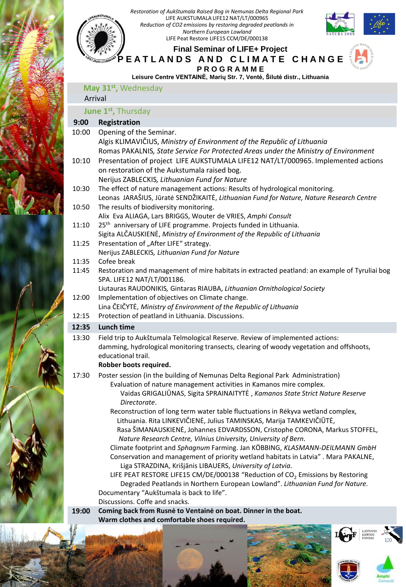

- Discussions. Coffe and snacks.
- **19:00 Coming back from Rusnė to Ventainė on boat. Dinner in the boat. Warm clothes and comfortable shoes required.**